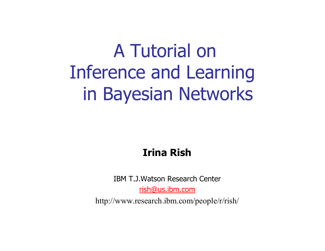# A Tutorial on Inference and Learning in Bayesian Networks

#### **Irina Rish**

IBM T.J.Watson Research Center

rish@us.ibm.com

http://www.research.ibm.com/people/r/rish/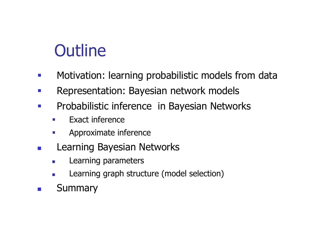## **Outline**

- $\mathcal{L}^{\text{max}}$ Motivation: learning probabilistic models from data
- $\mathcal{L}^{\text{max}}$ Representation: Bayesian network models
- $\mathcal{L}^{\mathcal{A}}$  Probabilistic inference in Bayesian Networks
	- $\mathcal{L}^{\mathcal{L}}$ Exact inference
	- $\mathcal{L}_{\mathcal{A}}$ Approximate inference
- Learning Bayesian Networks
	- $\overline{\mathcal{A}}$ Learning parameters
	- $\mathcal{L}_{\mathcal{A}}$ Learning graph structure (model selection)
- $\mathcal{L}(\mathcal{A})$ **Summary**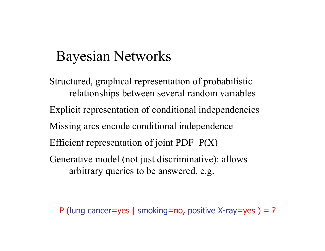#### Bayesian Networks

Structured, graphical representation of probabilistic relationships between several random variables Explicit representation of conditional independencies Missing arcs encode conditional independence Efficient representation of joint PDF P(X) Generative model (not just discriminative): allows arbitrary queries to be answered, e.g.

P (lung cancer=yes | smoking=no, positive X-ray=yes ) = ?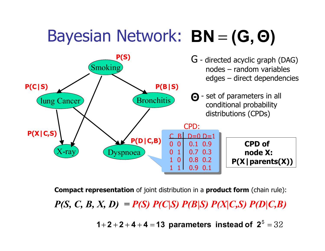#### Bayesian Network: BN = **(G, Θ )**



*= P(S) P(C|S) P(B|S) P(X|C,S) P(D|C,B) P(S, C, B, X, D)* **Compact representation** of joint distribution in a **product form** (chain rule): 32 **1** + **2** + **2** + **4** + **4** = **1 3 parameters instead of 2** =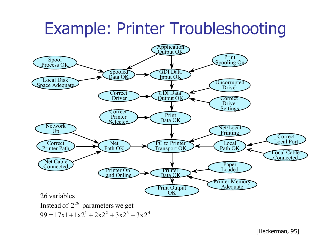## Example: Printer Troubleshooting

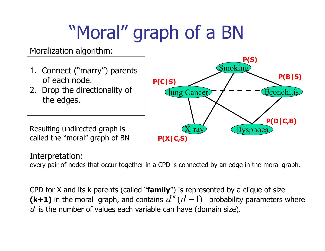# "Moral" graph of a BN

#### Moralization algorithm:

- 1. Connect ("marry") parents of each node.
- 2. Drop the directionality of the edges.

Resulting undirected graph is called the "moral" graph of BN

#### lung Cancer **Smoking** X-ray **Bronchitis** vspnoea **P(D|C,B) P(B|S) P(S) P(X|C,S) P(C|S)**

#### Interpretation:

every pair of nodes that occur together in a CPD is connected by an edge in the moral graph.

CPD for X and its k parents (called "**family**") is represented by a clique of size (k+1) in the moral graph, and contains  $d^k(d-1)$  probability parameters where  $d$  is the number of values each variable can have (domain size).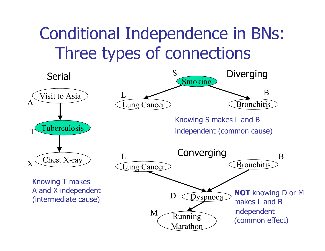## Conditional Independence in BNs: Three types of connections

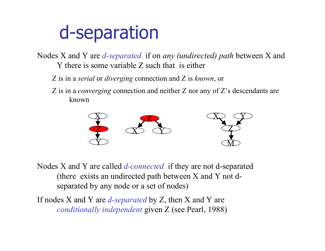# d-separation

Nodes X and Y are *d-separated* if on *any (undirected) path* between X and Y there is some variable Z such that is either

- Z is in a *serial* or *diverging* connection and Z is *known*, or
- Z is in a *converging* connection and neither Z nor any of Z's descendants are known



Nodes X and Y are called *d-connected* if they are not d-separated (there exists an undirected path between X and Y not dseparated by any node or a set of nodes)

If nodes X and Y are *d-separated* by Z, then X and Y are *conditionally independent* given Z (see Pearl, 1988)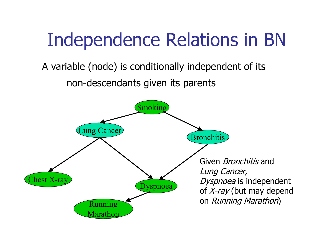# Independence Relations in BN

#### A variable (node) is conditionally independent of its non-descendants given its parents

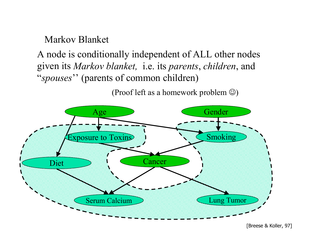Markov Blanket

A node is conditionally independent of ALL other nodes given its *Markov blanket,* i.e. its *parents*, *children*, and "*spouses*'' (parents of common children)

(Proof left as a homework problem  $\circledcirc$ )



[Breese & Koller, 97]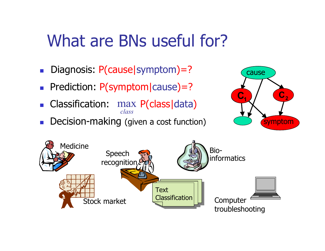### What are BNs useful for?

- $\| \cdot \|$ Diagnosis: P(cause|symptom)=?
- **Prediction: P(symptom|cause)=?**
- *class* **Classification: max P(class data)**
- Π Decision-making (given a cost function)



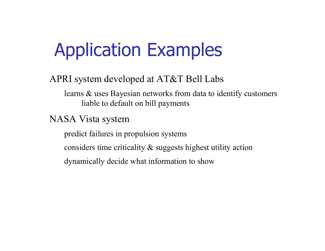# Application Examples

APRI system developed at AT&T Bell Labs

learns & uses Bayesian networks from data to identify customers liable to default on bill payments

NASA Vista system

predict failures in propulsion systems

considers time criticality & suggests highest utility action

dynamically decide what information to show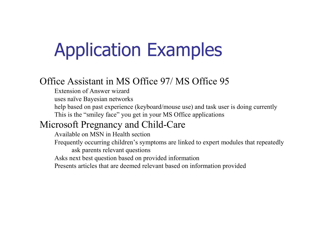# Application Examples

#### Office Assistant in MS Office 97/ MS Office 95

- Extension of Answer wizard
- uses naïve Bayesian networks
- help based on past experience (keyboard/mouse use) and task user is doing currently This is the "smiley face" you get in your MS Office applications

#### Microsoft Pregnancy and Child-Care

- Available on MSN in Health section
- Frequently occurring children's symptoms are linked to expert modules that repeatedly ask parents relevant questions
- Asks next best question based on provided information
- Presents articles that are deemed relevant based on information provided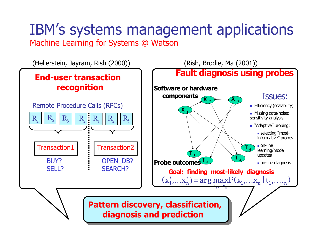#### IBM's systems management applications Machine Learning for Systems @ Watson

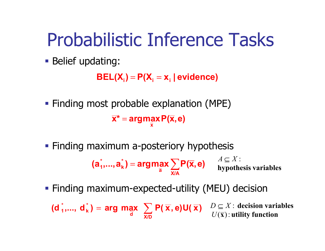# Probabilistic Inference Tasks

**Belief updating:** 

**BEL(X ) P(X <sup>x</sup> | evidence) <sup>i</sup>** <sup>=</sup> **<sup>i</sup>** <sup>=</sup> **<sup>i</sup>**

- **Finding most probable explanation (MPE) x \* argmaxP( x,e) x** =
- **Finding maximum a-posteriory hypothesis**

 $=$  argmax  $\sum$ **X/A a \* k**  $(a_1, \ldots, a_k) = \arg\max_{\overline{a}} \sum P(\overline{x}, e)$   $A \subseteq A$ .<br>hypothesis variables *A* ⊆ *X* :

Finding maximum-expected-utility (MEU) decision

 $(\mathsf{d}_1, ..., \mathsf{d}_k) = \mathsf{arg} \, \mathsf{max} \, \left( \sum_i \mathsf{P}(\overline{\mathbf{x}}, \mathsf{e}) \mathsf{U}(\overline{\mathbf{x}}) \right)$ **X/D d \* k**  $\mathbf{d}_{\mathbf{k}}^*$  = **arg** max  $\sum$   $\mathbf{P}(\overline{\mathbf{x}}, \mathbf{e}) \mathbf{U}(\overline{\mathbf{x}})$   $D \subseteq X$ : decision variables  $(\overline{\mathbf{x}})$  : utility function *U D* ⊆ *X*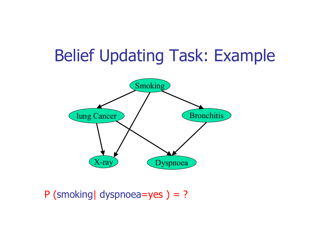### Belief Updating Task: Example



P (smoking dyspnoea=yes ) = ?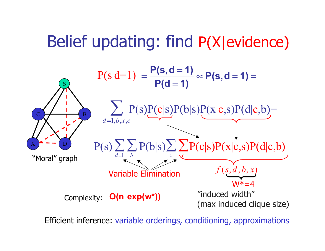### Belief updating: find P(X|evidence)



Efficient inference: variable orderings, conditioning, approximations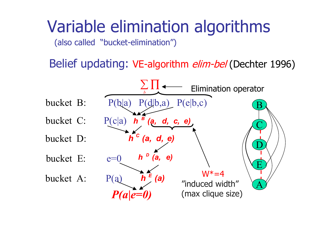## Variable elimination algorithms

(also called "bucket-elimination")

Belief updating: VE-algorithm elim-bel (Dechter 1996)

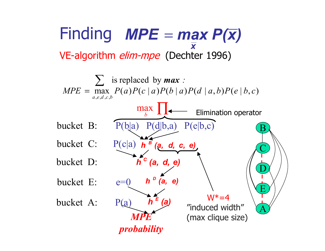Finding *MPE max P(x)* VE-algorithm elim-mpe (Dechter 1996) *x* =<br>=

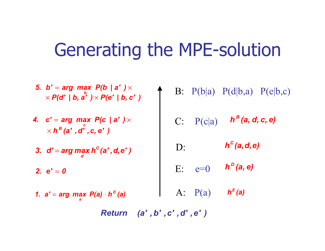## Generating the MPE-solution

- *P(d' | b, <sup>a</sup>' ) P(e' | b, <sup>c</sup>' ) 5. b' arg max P(b | <sup>a</sup>' )* = × *b*  $\times$  PIQ  $^{\circ}$  I D. a  $^{\circ}$  I  $\times$
- *h (a' ,d' ,c, <sup>e</sup>' ) B c 4. <sup>c</sup>' arg max P(c | <sup>a</sup>' )* = ×  $\times$
- *3. d' arg max h (a' ,d,e' ) C d* =
- *2. e'* = *0*
- *1. <sup>a</sup>' arg max P(a) h (a) E*  $=$  arg max  $\bm{r}$ (a)  $\cdot$
- B:  $P(b|a)$   $P(d|b,a)$   $P(e|b,c)$ 
	- C: P(c|a)  $h^B(a, d, c, e)$
	- D: *h (a,d,e) C*
	- E: e=0 *h (a, e) D*
- A:  $P(a)$ *h (a) E a*

*Return (a' ,b' ,c' ,d' ,e' )*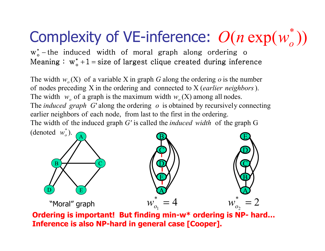#### Complexity of VE-inference:  $O(n \exp(w_o^*))$ *o O n*

Meaning :  $w_o^* + 1 =$  size of largest clique created during inference  $w_o^*$  – the induced width of moral graph along ordering o −

(denoted  $w_o^*$ ). The width of the induced graph G' is called the *induced width* of the graph G earlier neighbors of each node, from last to the first in the ordering. The *induced* graph G' along the ordering o is obtained by recursively connecting The width  $w_0$  of a graph is the maximum width  $w_0(X)$  among all nodes. of nodes preceding X in the ordering and connected to X (*earlier neighbors*). The width  $w_0(X)$  of a variable X in graph G along the ordering o is the number



**Ordering is important! But finding min-w\* ordering is NP- hard… Inference is also NP-hard in general case [Cooper].**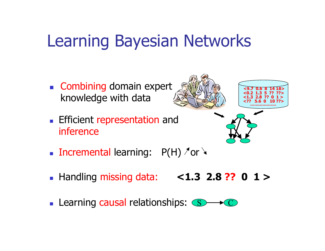### Learning Bayesian Networks

- **Combining domain expert** knowledge with data
- **Efficient representation and** inference







- **Incremental learning:**  $P(H)$   $\pi$  or
- Handling missing data: **<1.3 2.8 ?? 0 1 >**
- **Learning causal relationships: S**  $\, C \,$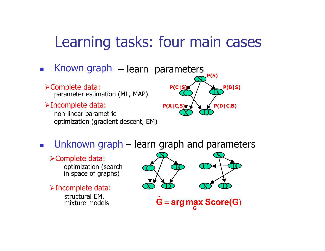#### Learning tasks: four main cases

- $\sim$ **EXALLE Known graph** – learn parameters
	- Complete data: parameter estimation (ML, MAP)
	- Incomplete data:

non-linear parametric optimization (gradient descent, EM)



 $\left\vert \psi_{\pm}\right\vert$ **u** Unknown graph –learn graph and parameters

#### Complete data:

optimization (search in space of graphs)

Incomplete data: structural EM, mixture models

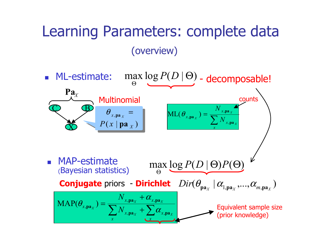### Learning Parameters: complete data (overview)

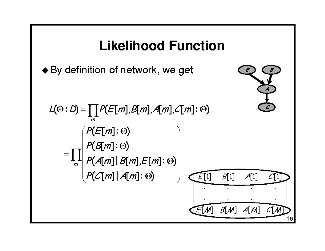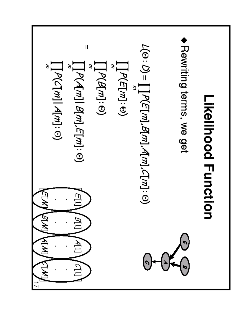**Newtoning terms, we get**

\n**Newtoning terms, we get**

\n
$$
\mathbf{L}[P(E[m], R[m], C[m]) \cap \mathbf{L}[P(m] : \Theta)
$$

\n
$$
\mathbf{L}[P(R[m]: \Theta)
$$

\n
$$
\mathbf{L}[P(R[m]: \Theta)
$$

\n
$$
\mathbf{L}[P(R[m]: \Theta)
$$

\n
$$
\mathbf{L}[P(R[m]: \Theta)
$$

\n
$$
\mathbf{L}[P(R[m][R[m], C])]
$$

\n
$$
\mathbf{L}[P(R[m][R[m], C])]
$$

\n
$$
\mathbf{L}[P(R[m][R[m], C])]
$$

\n
$$
\mathbf{L}[P(R[m][R[m], C])]
$$

\n
$$
\mathbf{L}[P(R[m][R[m], C])]
$$

\n
$$
\mathbf{L}[P(R[m][R[m], C])]
$$

\n
$$
\mathbf{L}[P(R[m][R[m], C])]
$$

\n
$$
\mathbf{L}[P(R[m][R[m], C])]
$$

\n
$$
\mathbf{L}[P(R[m][R[m], C])]
$$

г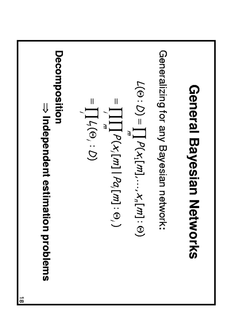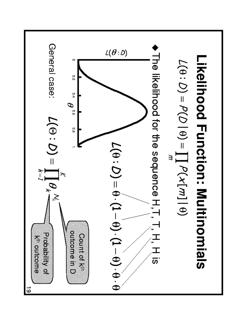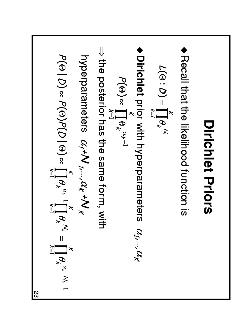\n- • Recall that the likelihood function is
\n- • Dirichlet **Priots**
\n- • 
$$
L(\Theta: D) = \prod_{k=1}^{K} \theta_k^{N_k}
$$
\n- → the prior with hyperparameters  $\alpha_{f}, \ldots, \alpha_K$
\n- → the posterior has the same form, with
\n- → the posterior has the same form, with
\n- → the posterior has the same form, with
\n- → the posterior has the same form, with
\n- →  $P(\Theta | D) \propto P(\Theta) P(D | \Theta) \propto \prod_{k=1}^{K} \theta_k^{m_k - 1} \prod_{k=1}^{K} \theta_k^{m_k - 1} \prod_{k=1}^{K} \theta_k^{m_k + N_k - 1}$
\n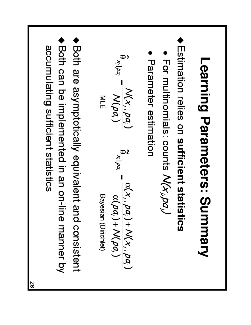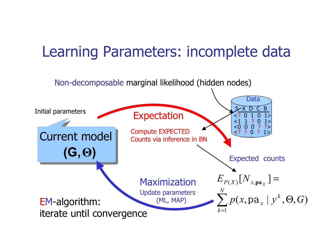### Learning Parameters: incomplete data

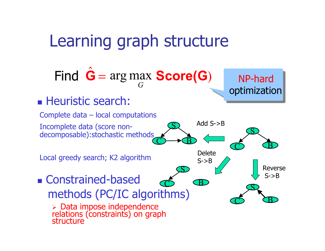### Learning graph structure

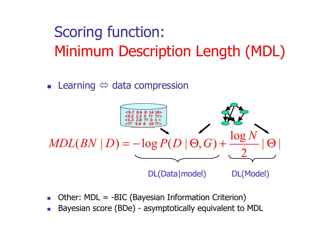## Scoring function: Minimum Description Length (MDL)

**Example 19 and Septem** Learning  $\Leftrightarrow$  data compression



- **College** Other: MDL = -BIC (Bayesian Information Criterion)
- Bayesian score (BDe) - asymptotically equivalent to MDL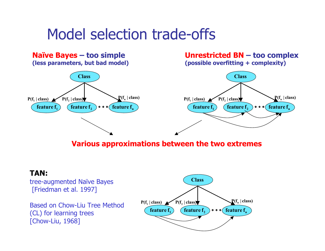### Model selection trade-offs



**Various approximations between the two extremes**

#### **TAN:**

tree-augmented Naïve Bayes [Friedman et al. 1997]

Based on Chow-Liu Tree Method (CL) for learning trees [Chow-Liu, 1968]

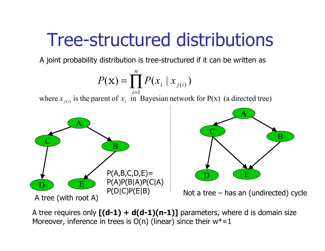# Tree-structured distributions

A joint probability distribution is tree-structured if it can be written as

$$
P(\mathbf{x}) = \prod_{i=1}^{n} P(x_i \mid x_{j(i)})
$$

where  $x_{j(i)}$  is the parent of  $x_i$  in Bayesian network for P(x) (a directed tree)



A tree requires only  $[(d-1) + d(d-1)(n-1)]$  parameters, where d is domain size Moreover, inference in trees is  $O(n)$  (linear) since their  $w^* = 1$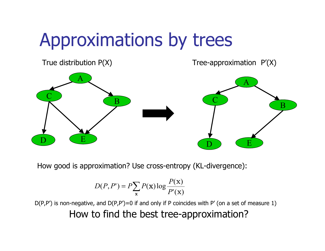# Approximations by trees



How good is approximation? Use cross-entropy (KL-divergence):

$$
D(P, P') = P \sum_{\mathbf{x}} P(\mathbf{x}) \log \frac{P(\mathbf{x})}{P'(\mathbf{x})}
$$

 $D(P, P')$  is non-negative, and  $D(P, P') = 0$  if and only if P coincides with P' (on a set of measure 1) How to find the best tree-approximation?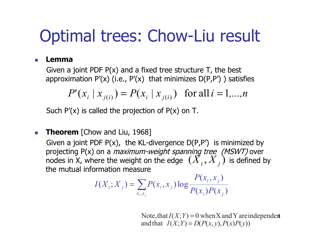## Optimal trees: Chow-Liu result

#### П **Lemma**

Given a joint PDF  $P(x)$  and a fixed tree structure T, the best approximation  $P'(x)$  (i.e.,  $P'(x)$  that minimizes  $D(P,P')$ ) satisfies

$$
P'(x_i | x_{j(i)}) = P(x_i | x_{j(i)}) \text{ for all } i = 1,...,n
$$

Such  $P'(x)$  is called the projection of  $P(x)$  on T.

#### $\mathcal{L}_{\rm{eff}}$ **Theorem** [Chow and Liu, 1968]

Given a joint PDF  $P(x)$ , the KL-divergence  $D(P, P')$  is minimized by projecting P(x) on a *maximum-weight spanning tree (MSWT)* over nodes in X, where the weight on the edge  $\; (X_{\overline{i}}, X_{\overline{j}})$  is defined by the mutual information measure

$$
I(X_i; X_j) = \sum_{x_i, x_j} P(x_i, x_j) \log \frac{P(x_i, x_j)}{P(x_i)P(x_j)}
$$

and that  $I(X;Y) = D(P(x,y), P(x)P(y))$ Note, that  $I(X;Y) = 0$  when X and Y are independent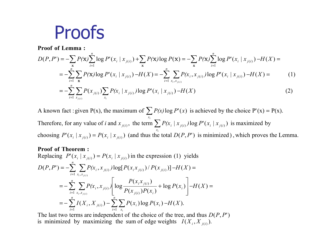## Proofs

**Proof of Lemma :**

$$
D(P, P') = -\sum_{\mathbf{x}} P(\mathbf{x}) \sum_{i=1}^{n} \log P'(\mathbf{x}_i | \mathbf{x}_{j(i)}) + \sum_{\mathbf{x}} P(\mathbf{x}) \log P(\mathbf{x}) = -\sum_{\mathbf{x}} P(\mathbf{x}) \sum_{i=1}^{n} \log P'(\mathbf{x}_i | \mathbf{x}_{j(i)}) - H(X) =
$$
  
\n
$$
= -\sum_{i=1}^{n} \sum_{\mathbf{x}} P(\mathbf{x}) \log P'(\mathbf{x}_i | \mathbf{x}_{j(i)}) - H(X) = -\sum_{i=1}^{n} \sum_{\mathbf{x}_i, \mathbf{x}_{j(i)}} P(\mathbf{x}_i, \mathbf{x}_{j(i)}) \log P'(\mathbf{x}_i | \mathbf{x}_{j(i)}) - H(X) =
$$
  
\n
$$
= -\sum_{i=1}^{n} \sum_{\mathbf{x}_{j(i)}} P(\mathbf{x}_{j(i)}) \sum_{\mathbf{x}_i} P(\mathbf{x}_i | \mathbf{x}_{j(i)}) \log P'(\mathbf{x}_i | \mathbf{x}_{j(i)}) - H(X)
$$
\n(2)

choosing  $P'(x_i | x_{j(i)}) = P(x_i | x_{j(i)})$  (and thus the total  $D(P, P')$  is minimized), which proves the Lemma. Therefore, for any value of *i* and  $x_{j(i)}$ , the term  $\sum P(x_i | x_{j(i)}) \log P'(x_i | x_{j(i)})$  is maximized by A known fact : given P(x), the maximum of  $\sum P(x) \log P'(x)$  is achieved by the choice P'(x) = P(x). *x x*  $P'(x, |x|_0) = P(x, |x|_0)$  (and thus the total  $D(P, P)$ *i a* **nd**  $x_{i(i)}$ , the term  $\sum P(x_i | x_{i(i)}) \log P'(x_i | x_i)$ *i* ∑ =

#### **Proof of Theorem :**

Replacing 
$$
P'(x_i | x_{j(i)}) = P(x_i | x_{j(i)})
$$
 in the expression (1) yields  
\n
$$
D(P, P') = -\sum_{i=1}^{n} \sum_{x_i, x_{j(i)}} P(x_i, x_{j(i)}) \log[P(x_i x_{j(i)}) / P(x_{j(i)})] - H(X) = -\sum_{i=1}^{n} \sum_{x_i, x_{j(i)}} P(x_i, x_{j(i)}) \left[ \log \frac{P(x_i x_{j(i)})}{P(x_{j(i)}) P(x_i)} + \log P(x_i) \right] - H(X) = -\sum_{i=1}^{n} I(X_i, X_{j(i)}) - \sum_{i=1}^{n} \sum_{x_i} P(x_i) \log P(x_i) - H(X).
$$

is minimized by maximizing the sum of edge weights  $I(X_i, X_{j(i)})$ . The last two terms are independent of the choice of the tree, and thus  $D(P, P')$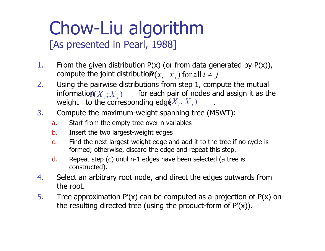# Chow-Liu algorithm

#### [As presented in Pearl, 1988]

- 1. From the given distribution  $P(x)$  (or from data generated by  $P(x)$ ), compute the joint distributio $P\!\!\left(\boldsymbol{x}_i \mid \boldsymbol{x}_j\right)$  for all  $i \neq j$
- 2. Using the pairwise distributions from step 1, compute the mutual  $\text{information}(X_i; X_j)$  for each pair of nodes and assign it as the weight to the corresponding edg $(X_{i}, X_{j})$  are .
- 3. Compute the maximum-weight spanning tree (MSWT):
	- a. Start from the empty tree over n variables
	- b. Insert the two largest-weight edges
	- c. Find the next largest-weight edge and add it to the tree if no cycle is formed; otherwise, discard the edge and repeat this step.
	- d. Repeat step (c) until n-1 edges have been selected (a tree is constructed).
- 4. Select an arbitrary root node, and direct the edges outwards from the root.
- 5. Tree approximation  $P'(x)$  can be computed as a projection of  $P(x)$  on the resulting directed tree (using the product-form of  $P'(x)$ ).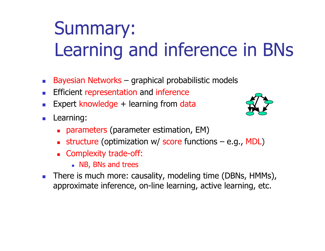# Summary: Learning and inference in BNs

- Bayesian Networks – graphical probabilistic models
- Efficient representation and inference
- × Expert knowledge + learning from data
- $\mathcal{L}_{\mathcal{A}}$  Learning:
	- parameters (parameter estimation, EM)
	- **structure** (optimization w/ score functions e.g., MDL)
	- **Examplexity trade-off:** 
		- **NB, BNs and trees**
- **College**  There is much more: causality, modeling time (DBNs, HMMs), approximate inference, on-line learning, active learning, etc.

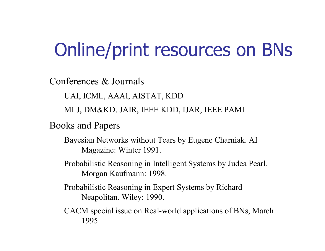# Online/print resources on BNs

Conferences & Journals

UAI, ICML, AAAI, AISTAT, KDD

MLJ, DM&KD, JAIR, IEEE KDD, IJAR, IEEE PAMI

Books and Papers

Bayesian Networks without Tears by Eugene Charniak. AI Magazine: Winter 1991.

Probabilistic Reasoning in Intelligent Systems by Judea Pearl. Morgan Kaufmann: 1998.

Probabilistic Reasoning in Expert Systems by Richard Neapolitan. Wiley: 1990.

CACM special issue on Real-world applications of BNs, March 1995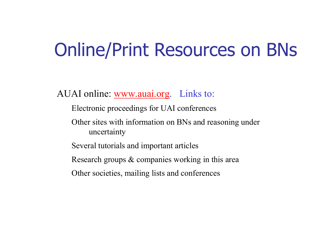# Online/Print Resources on BNs

AUAI online: www.auai.org. Links to:

- Electronic proceedings for UAI conferences
- Other sites with information on BNs and reasoning under uncertainty
- Several tutorials and important articles
- Research groups & companies working in this area
- Other societies, mailing lists and conferences